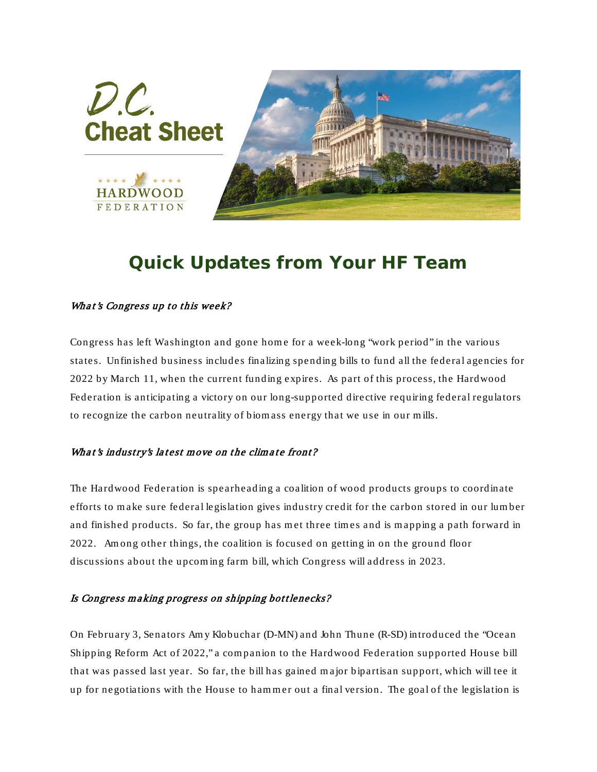

## *Quick Updates from Your HF Team*

## What's Congress up to this week?

Congress has left Washington and gone home for a week-long "work period" in the various states. Unfinished business includes finalizing spending bills to fund all the federal agencies for 2022 by March 11, when the current funding expires. As part of this process, the Hardwood Federation is anticipating a victory on our long-supported directive requiring federal regulators to recognize the carbon neutrality of biom ass energy that we use in our m ills.

## What's industry's latest move on the climate front?

The Hardwood Federation is spearheading a coalition of wood products groups to coordinate efforts to m ake sure federal legislation gives industry credit for the carbon stored in our lum ber and finished products. So far, the group has met three times and is mapping a path forward in 2022. Am ong other things, the coalition is focused on getting in on the ground floor discussions about the upcom ing farm bill, which Congress will address in 2023.

## Is Congress making progress on shipping bottlenecks?

On February 3, Senators Am y Klobuchar (D-MN) and John Thune (R-SD) introduced the "Ocean Shipping Reform Act of 2022," a com panion to the Hardwood Federation supported House bill that was passed last year. So far, the bill has gained m ajor bipartisan support, which will tee it up for negotiations with the House to hammer out a final version. The goal of the legislation is